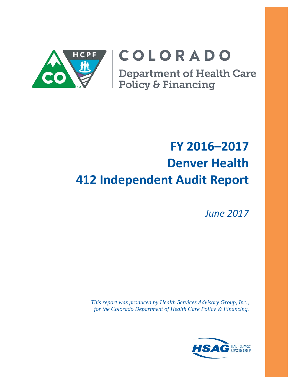

# COLORADO

**Department of Health Care<br>Policy & Financing** 

# **FY 2016–2017 Denver Health 412 Independent Audit Report**

*June 2017*

*This report was produced by Health Services Advisory Group, Inc., for the Colorado Department of Health Care Policy & Financing.*

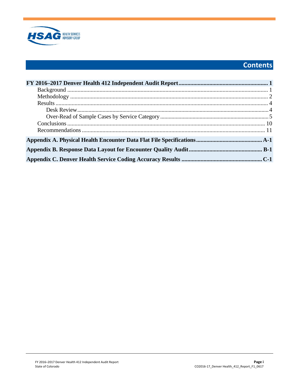

# **Contents**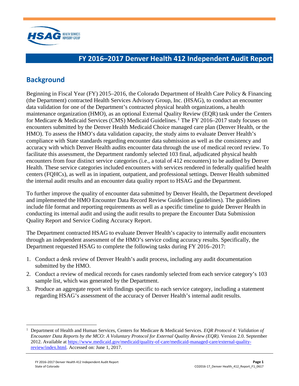

# <span id="page-2-0"></span>**FY 2016–2017 Denver Health 412 Independent Audit Report**

# <span id="page-2-1"></span>**Background**

Beginning in Fiscal Year (FY) 2015–2016, the Colorado Department of Health Care Policy & Financing (the Department) contracted Health Services Advisory Group, Inc. (HSAG), to conduct an encounter data validation for one of the Department's contracted physical health organizations, a health maintenance organization (HMO), as an optional External Quality Review (EQR) task under the Centers for Medicare & Medicaid Services (CMS) Medicaid Guidelines. [1](#page-2-2) The FY 2016–2017 study focuses on encounters submitted by the Denver Health Medicaid Choice managed care plan (Denver Health, or the HMO). To assess the HMO's data validation capacity, the study aims to evaluate Denver Health's compliance with State standards regarding encounter data submission as well as the consistency and accuracy with which Denver Health audits encounter data through the use of medical record review. To facilitate this assessment, the Department randomly selected 103 final, adjudicated physical health encounters from four distinct service categories (i.e., a total of 412 encounters) to be audited by Denver Health. These service categories included encounters with services rendered in federally qualified health centers (FQHCs), as well as in inpatient, outpatient, and professional settings. Denver Health submitted the internal audit results and an encounter data quality report to HSAG and the Department.

To further improve the quality of encounter data submitted by Denver Health, the Department developed and implemented the HMO Encounter Data Record Review Guidelines (guidelines). The guidelines include file format and reporting requirements as well as a specific timeline to guide Denver Health in conducting its internal audit and using the audit results to prepare the Encounter Data Submission Quality Report and Service Coding Accuracy Report.

The Department contracted HSAG to evaluate Denver Health's capacity to internally audit encounters through an independent assessment of the HMO's service coding accuracy results. Specifically, the Department requested HSAG to complete the following tasks during FY 2016–2017:

- 1. Conduct a desk review of Denver Health's audit process, including any audit documentation submitted by the HMO.
- 2. Conduct a review of medical records for cases randomly selected from each service category's 103 sample list, which was generated by the Department.
- 3. Produce an aggregate report with findings specific to each service category, including a statement regarding HSAG's assessment of the accuracy of Denver Health's internal audit results.

 $\overline{a}$ 

<span id="page-2-2"></span><sup>1</sup> Department of Health and Human Services, Centers for Medicare & Medicaid Services. *EQR Protocol 4: Validation of Encounter Data Reports by the MCO: A Voluntary Protocol for External Quality Review (EQR)*. Version 2.0. September 2012. Available at [https://www.medicaid.gov/medicaid/quality-of-care/medicaid-managed-care/external-quality](https://www.medicaid.gov/medicaid/quality-of-care/medicaid-managed-care/external-quality-review/index.html)[review/index.html.](https://www.medicaid.gov/medicaid/quality-of-care/medicaid-managed-care/external-quality-review/index.html) Accessed on: June 1, 2017.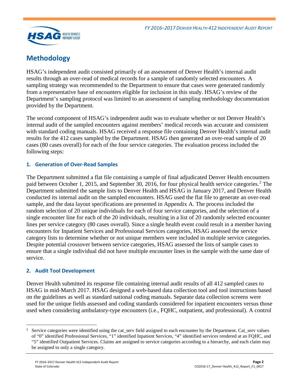

# <span id="page-3-0"></span>**Methodology**

HSAG's independent audit consisted primarily of an assessment of Denver Health's internal audit results through an over-read of medical records for a sample of randomly selected encounters. A sampling strategy was recommended to the Department to ensure that cases were generated randomly from a representative base of encounters eligible for inclusion in this study. HSAG's review of the Department's sampling protocol was limited to an assessment of sampling methodology documentation provided by the Department.

The second component of HSAG's independent audit was to evaluate whether or not Denver Health's internal audit of the sampled encounters against members' medical records was accurate and consistent with standard coding manuals. HSAG received a response file containing Denver Health's internal audit results for the 412 cases sampled by the Department. HSAG then generated an over-read sample of 20 cases (80 cases overall) for each of the four service categories. The evaluation process included the following steps:

## **1. Generation of Over-Read Samples**

The Department submitted a flat file containing a sample of final adjudicated Denver Health encounters paid between October 1, [2](#page-3-1)015, and September 30, 2016, for four physical health service categories.<sup>2</sup> The Department submitted the sample lists to Denver Health and HSAG in January 2017, and Denver Health conducted its internal audit on the sampled encounters. HSAG used the flat file to generate an over-read sample, and the data layout specifications are presented in Appendix A. The process included the random selection of 20 unique individuals for each of four service categories, and the selection of a single encounter line for each of the 20 individuals, resulting in a list of 20 randomly selected encounter lines per service category (80 cases overall). Since a single health event could result in a member having encounters for Inpatient Services and Professional Services categories, HSAG assessed the service category lists to determine whether or not unique members were included in multiple service categories. Despite potential crossover between service categories, HSAG assessed the lists of sample cases to ensure that a single individual did not have multiple encounter lines in the sample with the same date of service.

## **2. Audit Tool Development**

Denver Health submitted its response file containing internal audit results of all 412 sampled cases to HSAG in mid-March 2017. HSAG designed a web-based data collection tool and tool instructions based on the guidelines as well as standard national coding manuals. Separate data collection screens were used for the unique fields assessed and coding standards considered for inpatient encounters versus those used when considering ambulatory-type encounters (i.e., FQHC, outpatient, and professional). A control

<span id="page-3-1"></span> $\overline{a}$ 2 Service categories were identified using the cat serv field assigned to each encounter by the Department. Cat serv values of "0" identified Professional Services, "1" identified Inpatient Services, "4" identified services rendered at an FQHC, and "5" identified Outpatient Services. Claims are assigned to service categories according to a hierarchy, and each claim may be assigned to only a single category.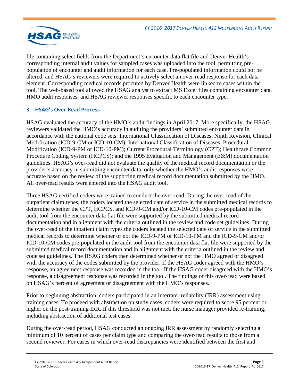

file containing select fields from the Department's encounter data flat file and Denver Health's corresponding internal audit values for sampled cases was uploaded into the tool, permitting prepopulation of encounter and audit information for each case. Pre-populated information could not be altered, and HSAG's reviewers were required to actively select an over-read response for each data element. Corresponding medical records procured by Denver Health were linked to cases within the tool. The web-based tool allowed the HSAG analyst to extract MS Excel files containing encounter data, HMO audit responses, and HSAG reviewer responses specific to each encounter type.

## **3. HSAG's Over-Read Process**

HSAG evaluated the accuracy of the HMO's audit findings in April 2017. More specifically, the HSAG reviewers validated the HMO's accuracy in auditing the providers' submitted encounter data in accordance with the national code sets: International Classification of Diseases, Ninth Revision, Clinical Modification (ICD-9-CM or ICD-10-CM); International Classification of Diseases, Procedural Modification (ICD-9-PM or ICD-10-PM); Current Procedural Terminology (CPT); Healthcare Common Procedure Coding System (HCPCS); and the 1995 Evaluation and Management (E&M) documentation guidelines. HSAG's over-read did not evaluate the quality of the medical record documentation or the provider's accuracy in submitting encounter data, only whether the HMO's audit responses were accurate based on the review of the supporting medical record documentation submitted by the HMO. All over-read results were entered into the HSAG audit tool.

Three HSAG certified coders were trained to conduct the over-read. During the over-read of the outpatient claim types, the coders located the selected date of service in the submitted medical records to determine whether the CPT, HCPCS, and ICD-9-CM and/or ICD-10-CM codes pre-populated in the audit tool from the encounter data flat file were supported by the submitted medical record documentation and in alignment with the criteria outlined in the review and code set guidelines. During the over-read of the inpatient claim types the coders located the selected date of service in the submitted medical records to determine whether or not the ICD-9-PM or ICD-10-PM and the ICD-9-CM and/or ICD-10-CM codes pre-populated in the audit tool from the encounter data flat file were supported by the submitted medical record documentation and in alignment with the criteria outlined in the review and code set guidelines. The HSAG coders then determined whether or not the HMO agreed or disagreed with the accuracy of the codes submitted by the provider. If the HSAG coder agreed with the HMO's response, an agreement response was recorded in the tool. If the HSAG coder disagreed with the HMO's response, a disagreement response was recorded in the tool. The findings of this over-read were based on HSAG's percent of agreement or disagreement with the HMO's responses.

Prior to beginning abstraction, coders participated in an interrater reliability (IRR) assessment using training cases. To proceed with abstraction on study cases, coders were required to score 95 percent or higher on the post-training IRR. If this threshold was not met, the nurse manager provided re-training, including abstraction of additional test cases.

During the over-read period, HSAG conducted an ongoing IRR assessment by randomly selecting a minimum of 10 percent of cases per claim type and comparing the over-read results to those from a second reviewer. For cases in which over-read discrepancies were identified between the first and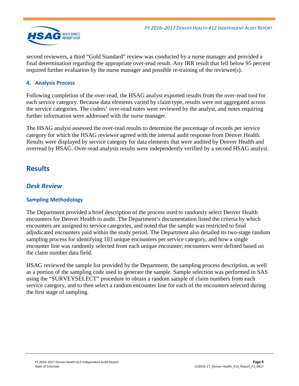

second reviewers, a third "Gold Standard" review was conducted by a nurse manager and provided a final determination regarding the appropriate over-read result. Any IRR result that fell below 95 percent required further evaluation by the nurse manager and possible re-training of the reviewer(s).

## **4. Analysis Process**

Following completion of the over-read, the HSAG analyst exported results from the over-read tool for each service category. Because data elements varied by claim type, results were not aggregated across the service categories. The coders' over-read notes were reviewed by the analyst, and notes requiring further information were addressed with the nurse manager.

The HSAG analyst assessed the over-read results to determine the percentage of records per service category for which the HSAG reviewer agreed with the internal audit response from Denver Health. Results were displayed by service category for data elements that were audited by Denver Health and overread by HSAG. Over-read analysis results were independently verified by a second HSAG analyst.

# <span id="page-5-0"></span>**Results**

## <span id="page-5-1"></span>*Desk Review*

## **Sampling Methodology**

The Department provided a brief description of the process used to randomly select Denver Health encounters for Denver Health to audit. The Department's documentation listed the criteria by which encounters are assigned to service categories, and noted that the sample was restricted to final adjudicated encounters paid within the study period. The Department also detailed its two-stage random sampling process for identifying 103 unique encounters per service category, and how a single encounter line was randomly selected from each unique encounter; encounters were defined based on the claim number data field.

HSAG reviewed the sample list provided by the Department, the sampling process description, as well as a portion of the sampling code used to generate the sample. Sample selection was performed in SAS using the "SURVEYSELECT" procedure to obtain a random sample of claim numbers from each service category, and to then select a random encounter line for each of the encounters selected during the first stage of sampling.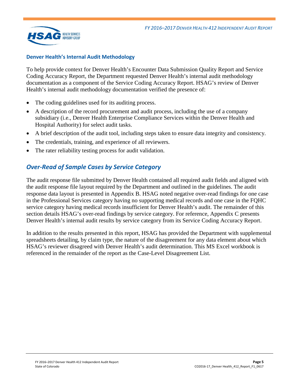

### **Denver Health's Internal Audit Methodology**

To help provide context for Denver Health's Encounter Data Submission Quality Report and Service Coding Accuracy Report, the Department requested Denver Health's internal audit methodology documentation as a component of the Service Coding Accuracy Report. HSAG's review of Denver Health's internal audit methodology documentation verified the presence of:

- The coding guidelines used for its auditing process.
- A description of the record procurement and audit process, including the use of a company subsidiary (i.e., Denver Health Enterprise Compliance Services within the Denver Health and Hospital Authority) for select audit tasks.
- A brief description of the audit tool, including steps taken to ensure data integrity and consistency.
- The credentials, training, and experience of all reviewers.
- <span id="page-6-0"></span>The rater reliability testing process for audit validation.

# *Over-Read of Sample Cases by Service Category*

The audit response file submitted by Denver Health contained all required audit fields and aligned with the audit response file layout required by the Department and outlined in the guidelines. The audit response data layout is presented in Appendix B. HSAG noted negative over-read findings for one case in the Professional Services category having no supporting medical records and one case in the FQHC service category having medical records insufficient for Denver Health's audit. The remainder of this section details HSAG's over-read findings by service category. For reference, Appendix C presents Denver Health's internal audit results by service category from its Service Coding Accuracy Report.

In addition to the results presented in this report, HSAG has provided the Department with supplemental spreadsheets detailing, by claim type, the nature of the disagreement for any data element about which HSAG's reviewer disagreed with Denver Health's audit determination. This MS Excel workbook is referenced in the remainder of the report as the Case-Level Disagreement List.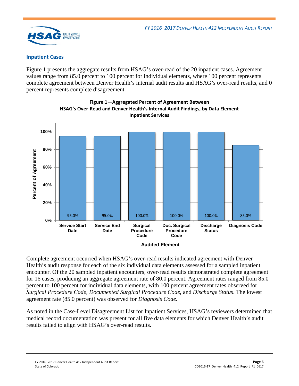

#### **Inpatient Cases**

[Figure 1](#page-7-0) presents the aggregate results from HSAG's over-read of the 20 inpatient cases. Agreement values range from 85.0 percent to 100 percent for individual elements, where 100 percent represents complete agreement between Denver Health's internal audit results and HSAG's over-read results, and 0 percent represents complete disagreement.

<span id="page-7-0"></span>

**Figure 1—Aggregated Percent of Agreement Between HSAG's Over-Read and Denver Health's Internal Audit Findings, by Data Element Inpatient Services**

Complete agreement occurred when HSAG's over-read results indicated agreement with Denver Health's audit response for each of the six individual data elements assessed for a sampled inpatient encounter. Of the 20 sampled inpatient encounters, over-read results demonstrated complete agreement for 16 cases, producing an aggregate agreement rate of 80.0 percent. Agreement rates ranged from 85.0 percent to 100 percent for individual data elements, with 100 percent agreement rates observed for *Surgical Procedure Code*, *Documented Surgical Procedure Code*, and *Discharge Status*. The lowest agreement rate (85.0 percent) was observed for *Diagnosis Code*.

As noted in the Case-Level Disagreement List for Inpatient Services, HSAG's reviewers determined that medical record documentation was present for all five data elements for which Denver Health's audit results failed to align with HSAG's over-read results.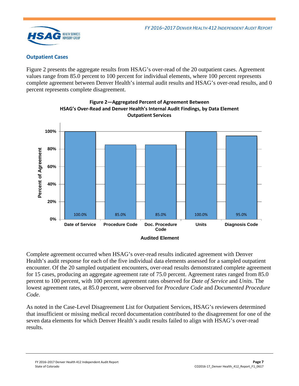

#### **Outpatient Cases**

[Figure 2](#page-8-0) presents the aggregate results from HSAG's over-read of the 20 outpatient cases. Agreement values range from 85.0 percent to 100 percent for individual elements, where 100 percent represents complete agreement between Denver Health's internal audit results and HSAG's over-read results, and 0 percent represents complete disagreement.

<span id="page-8-0"></span>



Complete agreement occurred when HSAG's over-read results indicated agreement with Denver Health's audit response for each of the five individual data elements assessed for a sampled outpatient encounter. Of the 20 sampled outpatient encounters, over-read results demonstrated complete agreement for 15 cases, producing an aggregate agreement rate of 75.0 percent. Agreement rates ranged from 85.0 percent to 100 percent, with 100 percent agreement rates observed for *Date of Service* and *Units*. The lowest agreement rates, at 85.0 percent, were observed for *Procedure Code* and *Documented Procedure Code*.

As noted in the Case-Level Disagreement List for Outpatient Services, HSAG's reviewers determined that insufficient or missing medical record documentation contributed to the disagreement for one of the seven data elements for which Denver Health's audit results failed to align with HSAG's over-read results.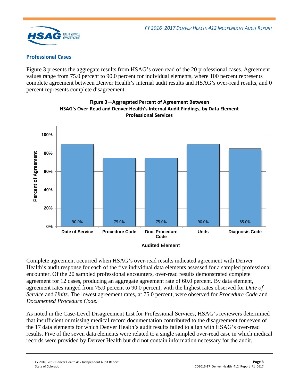

### **Professional Cases**

[Figure 3](#page-9-0) presents the aggregate results from HSAG's over-read of the 20 professional cases. Agreement values range from 75.0 percent to 90.0 percent for individual elements, where 100 percent represents complete agreement between Denver Health's internal audit results and HSAG's over-read results, and 0 percent represents complete disagreement.

<span id="page-9-0"></span>

**Figure 3—Aggregated Percent of Agreement Between HSAG's Over-Read and Denver Health's Internal Audit Findings, by Data Element Professional Services**

Complete agreement occurred when HSAG's over-read results indicated agreement with Denver Health's audit response for each of the five individual data elements assessed for a sampled professional encounter. Of the 20 sampled professional encounters, over-read results demonstrated complete agreement for 12 cases, producing an aggregate agreement rate of 60.0 percent. By data element, agreement rates ranged from 75.0 percent to 90.0 percent, with the highest rates observed for *Date of Service* and *Units*. The lowest agreement rates, at 75.0 percent, were observed for *Procedure Code* and *Documented Procedure Code*.

As noted in the Case-Level Disagreement List for Professional Services, HSAG's reviewers determined that insufficient or missing medical record documentation contributed to the disagreement for seven of the 17 data elements for which Denver Health's audit results failed to align with HSAG's over-read results. Five of the seven data elements were related to a single sampled over-read case in which medical records were provided by Denver Health but did not contain information necessary for the audit.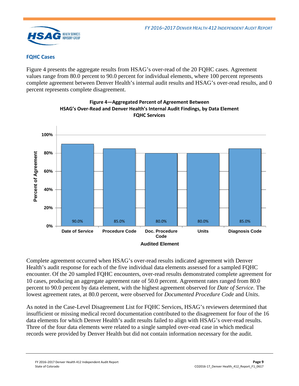

### **FQHC Cases**

[Figure 4](#page-10-0) presents the aggregate results from HSAG's over-read of the 20 FQHC cases. Agreement values range from 80.0 percent to 90.0 percent for individual elements, where 100 percent represents complete agreement between Denver Health's internal audit results and HSAG's over-read results, and 0 percent represents complete disagreement.

<span id="page-10-0"></span>

**Figure 4—Aggregated Percent of Agreement Between HSAG's Over-Read and Denver Health's Internal Audit Findings, by Data Element FQHC Services** 

Complete agreement occurred when HSAG's over-read results indicated agreement with Denver Health's audit response for each of the five individual data elements assessed for a sampled FQHC encounter. Of the 20 sampled FQHC encounters, over-read results demonstrated complete agreement for 10 cases, producing an aggregate agreement rate of 50.0 percent. Agreement rates ranged from 80.0 percent to 90.0 percent by data element, with the highest agreement observed for *Date of Service*. The lowest agreement rates, at 80.0 percent, were observed for *Documented Procedure Code* and *Units*.

As noted in the Case-Level Disagreement List for FQHC Services, HSAG's reviewers determined that insufficient or missing medical record documentation contributed to the disagreement for four of the 16 data elements for which Denver Health's audit results failed to align with HSAG's over-read results. Three of the four data elements were related to a single sampled over-read case in which medical records were provided by Denver Health but did not contain information necessary for the audit.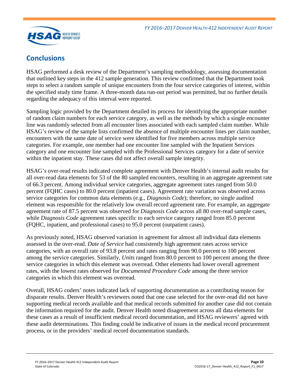

# <span id="page-11-0"></span>**Conclusions**

HSAG performed a desk review of the Department's sampling methodology, assessing documentation that outlined key steps in the 412 sample generation. This review confirmed that the Department took steps to select a random sample of unique encounters from the four service categories of interest, within the specified study time frame. A three-month data run-out period was permitted, but no further details regarding the adequacy of this interval were reported.

Sampling logic provided by the Department detailed its process for identifying the appropriate number of random claim numbers for each service category, as well as the methods by which a single encounter line was randomly selected from all encounter lines associated with each sampled claim number. While HSAG's review of the sample lists confirmed the absence of multiple encounter lines per claim number, encounters with the same date of service were identified for five members across multiple service categories. For example, one member had one encounter line sampled with the Inpatient Services category and one encounter line sampled with the Professional Services category for a date of service within the inpatient stay. These cases did not affect overall sample integrity.

HSAG's over-read results indicated complete agreement with Denver Health's internal audit results for all over-read data elements for 53 of the 80 sampled encounters, resulting in an aggregate agreement rate of 66.3 percent. Among individual service categories, aggregate agreement rates ranged from 50.0 percent (FQHC cases) to 80.0 percent (inpatient cases). Agreement rate variation was observed across service categories for common data elements (e.g., *Diagnosis Code*); therefore, no single audited element was responsible for the relatively low overall record agreement rate. For example, an aggregate agreement rate of 87.5 percent was observed for *Diagnosis Code* across all 80 over-read sample cases, while *Diagnosis Code* agreement rates specific to each service category ranged from 85.0 percent (FQHC, inpatient, and professional cases) to 95.0 percent (outpatient cases).

As previously noted, HSAG observed variation in agreement for almost all individual data elements assessed in the over-read. *Date of Service* had consistently high agreement rates across service categories, with an overall rate of 93.8 percent and rates ranging from 90.0 percent to 100 percent among the service categories. Similarly, *Units* ranged from 80.0 percent to 100 percent among the three service categories in which this element was overread. Other elements had lower overall agreement rates, with the lowest rates observed for *Documented Procedure Code* among the three service categories in which this element was overread.

Overall, HSAG coders' notes indicated lack of supporting documentation as a contributing reason for disparate results. Denver Health's reviewers noted that one case selected for the over-read did not have supporting medical records available and that medical records submitted for another case did not contain the information required for the audit. Denver Health noted disagreement across all data elements for these cases as a result of insufficient medical record documentation, and HSAG reviewers' agreed with these audit determinations. This finding could be indicative of issues in the medical record procurement process, or in the providers' medical record documentation standards.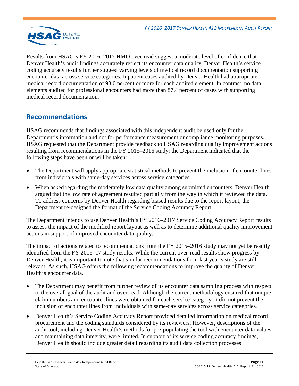

Results from HSAG's FY 2016–2017 HMO over-read suggest a moderate level of confidence that Denver Health's audit findings accurately reflect its encounter data quality. Denver Health's service coding accuracy results further suggest varying levels of medical record documentation supporting encounter data across service categories. Inpatient cases audited by Denver Health had appropriate medical record documentation of 93.0 percent or more for each audited element. In contrast, no data elements audited for professional encounters had more than 87.4 percent of cases with supporting medical record documentation.

# <span id="page-12-0"></span>**Recommendations**

HSAG recommends that findings associated with this independent audit be used only for the Department's information and not for performance measurement or compliance monitoring purposes. HSAG requested that the Department provide feedback to HSAG regarding quality improvement actions resulting from recommendations in the FY 2015–2016 study; the Department indicated that the following steps have been or will be taken:

- The Department will apply appropriate statistical methods to prevent the inclusion of encounter lines from individuals with same-day services across service categories.
- When asked regarding the moderately low data quality among submitted encounters, Denver Health argued that the low rate of agreement resulted partially from the way in which it reviewed the data. To address concerns by Denver Health regarding biased results due to the report layout, the Department re-designed the format of the Service Coding Accuracy Report.

The Department intends to use Denver Health's FY 2016–2017 Service Coding Accuracy Report results to assess the impact of the modified report layout as well as to determine additional quality improvement actions in support of improved encounter data quality.

The impact of actions related to recommendations from the FY 2015–2016 study may not yet be readily identified from the FY 2016–17 study results. While the current over-read results show progress by Denver Health, it is important to note that similar recommendations from last year's study are still relevant. As such, HSAG offers the following recommendations to improve the quality of Denver Health's encounter data.

- The Department may benefit from further review of its encounter data sampling process with respect to the overall goal of the audit and over-read. Although the current methodology ensured that unique claim numbers and encounter lines were obtained for each service category, it did not prevent the inclusion of encounter lines from individuals with same-day services across service categories.
- Denver Health's Service Coding Accuracy Report provided detailed information on medical record procurement and the coding standards considered by its reviewers. However, descriptions of the audit tool, including Denver Health's methods for pre-populating the tool with encounter data values and maintaining data integrity, were limited. In support of its service coding accuracy findings, Denver Health should include greater detail regarding its audit data collection processes.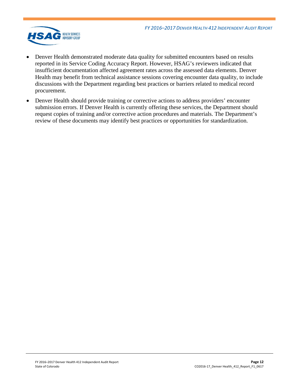

- Denver Health demonstrated moderate data quality for submitted encounters based on results reported in its Service Coding Accuracy Report. However, HSAG's reviewers indicated that insufficient documentation affected agreement rates across the assessed data elements. Denver Health may benefit from technical assistance sessions covering encounter data quality, to include discussions with the Department regarding best practices or barriers related to medical record procurement.
- Denver Health should provide training or corrective actions to address providers' encounter submission errors. If Denver Health is currently offering these services, the Department should request copies of training and/or corrective action procedures and materials. The Department's review of these documents may identify best practices or opportunities for standardization.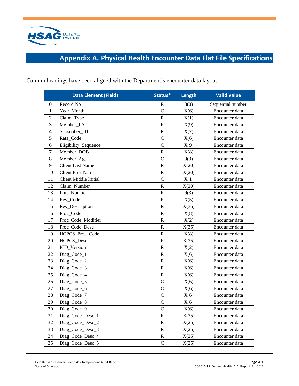

# **Appendix A. Physical Health Encounter Data Flat File Specifications**

|                | <b>Data Element (Field)</b>  | Status*        | Length | <b>Valid Value</b> |
|----------------|------------------------------|----------------|--------|--------------------|
| $\mathbf{0}$   | Record No                    | $\mathbb{R}$   | 3(0)   | Sequential number  |
| 1              | Year_Month                   | $\overline{C}$ | X(6)   | Encounter data     |
| $\mathfrak{2}$ | Claim_Type                   | $\mathbb{R}$   | X(1)   | Encounter data     |
| 3              | Member_ID                    | $\mathbb{R}$   | X(9)   | Encounter data     |
| $\overline{4}$ | Subscriber_ID                | $\mathbb{R}$   | X(7)   | Encounter data     |
| 5              | Rate Code                    | $\mathsf{C}$   | X(6)   | Encounter data     |
| 6              | Eligibility_Sequence         | $\mathcal{C}$  | X(9)   | Encounter data     |
| 7              | Member DOB                   | ${\bf R}$      | X(8)   | Encounter data     |
| $\,8\,$        | Member_Age                   | $\mathcal{C}$  | 9(3)   | Encounter data     |
| 9              | <b>Client Last Name</b>      | $\mathbb{R}$   | X(20)  | Encounter data     |
| 10             | <b>Client First Name</b>     | $\mathbb{R}$   | X(20)  | Encounter data     |
| 11             | <b>Client Middle Initial</b> | $\mathcal{C}$  | X(1)   | Encounter data     |
| 12             | Claim_Number                 | $\mathbb{R}$   | X(20)  | Encounter data     |
| 13             | Line Number                  | ${\bf R}$      | 9(3)   | Encounter data     |
| 14             | Rev_Code                     | $\mathbb{R}$   | X(5)   | Encounter data     |
| 15             | Rev_Description              | $\mathbb{R}$   | X(35)  | Encounter data     |
| 16             | Proc_Code                    | $\mathbb{R}$   | X(8)   | Encounter data     |
| 17             | Proc_Code_Modifier           | $\mathbb{R}$   | X(2)   | Encounter data     |
| 18             | Proc Code Desc               | $\mathbb{R}$   | X(35)  | Encounter data     |
| 19             | HCPCS_Proc_Code              | ${\bf R}$      | X(8)   | Encounter data     |
| 20             | HCPCS_Desc                   | $\mathbb{R}$   | X(35)  | Encounter data     |
| 21             | ICD_Version                  | $\mathbb{R}$   | X(2)   | Encounter data     |
| 22             | Diag_Code_1                  | $\mathbb{R}$   | X(6)   | Encounter data     |
| 23             | Diag_Code_2                  | $\mathbf R$    | X(6)   | Encounter data     |
| 24             | Diag_Code_3                  | $\mathbb{R}$   | X(6)   | Encounter data     |
| 25             | Diag_Code_4                  | $\mathbb{R}$   | X(6)   | Encounter data     |
| 26             | Diag_Code_5                  | $\mathcal{C}$  | X(6)   | Encounter data     |
| 27             | Diag_Code_6                  | $\mathcal{C}$  | X(6)   | Encounter data     |
| 28             | Diag_Code_7                  | $\mathcal{C}$  | X(6)   | Encounter data     |
| 29             | Diag_Code_8                  | $\mathbf C$    | X(6)   | Encounter data     |
| 30             | Diag_Code_9                  | $\mathcal{C}$  | X(6)   | Encounter data     |
| 31             | Diag_Code_Desc_1             | R              | X(25)  | Encounter data     |
| 32             | Diag_Code_Desc_2             | $\bf R$        | X(25)  | Encounter data     |
| 33             | Diag_Code_Desc_3             | $\mathbf R$    | X(25)  | Encounter data     |
| 34             | Diag_Code_Desc_4             | $\mathbf R$    | X(25)  | Encounter data     |
| 35             | Diag_Code_Desc_5             | $\mathsf C$    | X(25)  | Encounter data     |

<span id="page-14-0"></span>Column headings have been aligned with the Department's encounter data layout.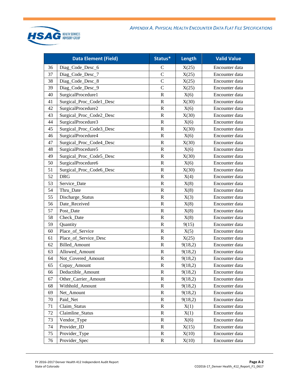

|    | <b>Data Element (Field)</b> | Status*        | Length  | <b>Valid Value</b> |
|----|-----------------------------|----------------|---------|--------------------|
| 36 | Diag_Code_Desc_6            | $\mathsf{C}$   | X(25)   | Encounter data     |
| 37 | Diag_Code_Desc_7            | $\overline{C}$ | X(25)   | Encounter data     |
| 38 | Diag_Code_Desc_8            | $\mathsf{C}$   | X(25)   | Encounter data     |
| 39 | Diag_Code_Desc_9            | $\mathbf C$    | X(25)   | Encounter data     |
| 40 | SurgicalProcedure1          | $\mathbf R$    | X(6)    | Encounter data     |
| 41 | Surgical_Proc_Code1_Desc    | $\mathbf R$    | X(30)   | Encounter data     |
| 42 | SurgicalProcedure2          | $\mathbf R$    | X(6)    | Encounter data     |
| 43 | Surgical_Proc_Code2_Desc    | $\mathbf R$    | X(30)   | Encounter data     |
| 44 | SurgicalProcedure3          | $\mathbf R$    | X(6)    | Encounter data     |
| 45 | Surgical_Proc_Code3_Desc    | $\mathbf R$    | X(30)   | Encounter data     |
| 46 | SurgicalProcedure4          | $\mathbf R$    | X(6)    | Encounter data     |
| 47 | Surgical_Proc_Code4_Desc    | $\mathbf R$    | X(30)   | Encounter data     |
| 48 | SurgicalProcedure5          | $\mathbf R$    | X(6)    | Encounter data     |
| 49 | Surgical_Proc_Code5_Desc    | $\mathbf R$    | X(30)   | Encounter data     |
| 50 | SurgicalProcedure6          | $\mathbf R$    | X(6)    | Encounter data     |
| 51 | Surgical_Proc_Code6_Desc    | $\mathbf R$    | X(30)   | Encounter data     |
| 52 | <b>DRG</b>                  | $\mathbf R$    | X(4)    | Encounter data     |
| 53 | Service_Date                | $\mathbf R$    | X(8)    | Encounter data     |
| 54 | Thru_Date                   | $\mathbf R$    | X(8)    | Encounter data     |
| 55 | Discharge_Status            | $\mathbf R$    | X(3)    | Encounter data     |
| 56 | Date Received               | $\mathbf R$    | X(8)    | Encounter data     |
| 57 | Post_Date                   | $\mathbf R$    | X(8)    | Encounter data     |
| 58 | Check_Date                  | $\mathbf R$    | X(8)    | Encounter data     |
| 59 | Quantity                    | $\mathbf R$    | 9(15)   | Encounter data     |
| 60 | Place_of_Service            | $\mathbf R$    | X(5)    | Encounter data     |
| 61 | Place_of_Service_Desc       | $\mathbf R$    | X(25)   | Encounter data     |
| 62 | <b>Billed</b> Amount        | $\mathbf R$    | 9(18,2) | Encounter data     |
| 63 | Allowed Amount              | $\mathbf R$    | 9(18,2) | Encounter data     |
| 64 | Not_Covered_Amount          | $\mathbf R$    | 9(18,2) | Encounter data     |
| 65 | Copay_Amount                | $\mathbf R$    | 9(18,2) | Encounter data     |
| 66 | Deductible_Amount           | $\mathbf R$    | 9(18,2) | Encounter data     |
| 67 | Other_Carrier_Amount        | R              | 9(18,2) | Encounter data     |
| 68 | Withhold_Amount             | $\bf R$        | 9(18,2) | Encounter data     |
| 69 | Net_Amount                  | $\mathbf R$    | 9(18,2) | Encounter data     |
| 70 | Paid_Net                    | $\mathbf R$    | 9(18,2) | Encounter data     |
| 71 | Claim Status                | R              | X(1)    | Encounter data     |
| 72 | Claimline_Status            | $\mathbf R$    | X(1)    | Encounter data     |
| 73 | Vendor_Type                 | $\mathbf R$    | X(6)    | Encounter data     |
| 74 | Provider_ID                 | R              | X(15)   | Encounter data     |
| 75 | Provider_Type               | $\mathbf R$    | X(10)   | Encounter data     |
| 76 | Provider_Spec               | $\mathbf R$    | X(10)   | Encounter data     |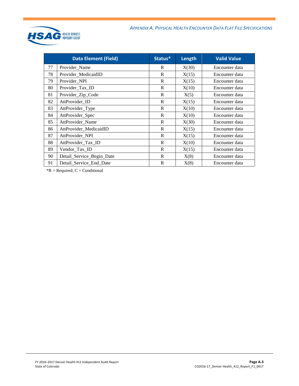

|    | <b>Data Element (Field)</b> | Status* | Length | <b>Valid Value</b> |
|----|-----------------------------|---------|--------|--------------------|
| 77 | Provider_Name               | R       | X(30)  | Encounter data     |
| 78 | Provider_MedicaidID         | R       | X(15)  | Encounter data     |
| 79 | Provider_NPI                | R       | X(15)  | Encounter data     |
| 80 | Provider_Tax_ID             | R       | X(10)  | Encounter data     |
| 81 | Provider_Zip_Code           | R       | X(5)   | Encounter data     |
| 82 | AttProvider_ID              | R       | X(15)  | Encounter data     |
| 83 | AttProvider_Type            | R       | X(10)  | Encounter data     |
| 84 | AttProvider_Spec            | R       | X(10)  | Encounter data     |
| 85 | AttProvider_Name            | R       | X(30)  | Encounter data     |
| 86 | AttProvider_MedicaidID      | R       | X(15)  | Encounter data     |
| 87 | AttProvider_NPI             | R       | X(15)  | Encounter data     |
| 88 | AttProvider_Tax_ID          | R       | X(10)  | Encounter data     |
| 89 | Vendor_Tax_ID               | R       | X(15)  | Encounter data     |
| 90 | Detail_Service_Begin_Date   | R       | X(8)   | Encounter data     |
| 91 | Detail_Service_End_Date     | R       | X(8)   | Encounter data     |

 $*R$  = Required,  $C$  = Conditional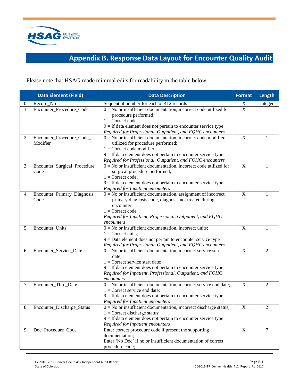

# **Appendix B. Response Data Layout for Encounter Quality Audit**

<span id="page-17-0"></span>Please note that HSAG made minimal edits for readability in the table below.

|          | <b>Data Element (Field)</b>           | <b>Data Description</b>                                                                                                                                                                                                                                                | <b>Format</b>             | Length         |
|----------|---------------------------------------|------------------------------------------------------------------------------------------------------------------------------------------------------------------------------------------------------------------------------------------------------------------------|---------------------------|----------------|
| $\theta$ | Record No                             | Sequential number for each of 412 records                                                                                                                                                                                                                              | X                         | integer        |
| 1        | Encounter_Procedure_Code              | $0 = No$ or insufficient documentation, incorrect code utilized for<br>procedure performed;<br>$1 =$ Correct code;<br>$9 =$ If data element does not pertain to encounter service type<br>Required for Professional, Outpatient, and FQHC encounters                   | $\overline{X}$            |                |
| 2        | Encounter_Procedure_Code_<br>Modifier | $0 = No$ or insufficient documentation, incorrect code modifier<br>utilized for procedure performed;<br>$1 =$ Correct code modifier;<br>$9 =$ If data element does not pertain to encounter service type<br>Required for Professional, Outpatient, and FQHC encounters | $\mathbf X$               | 1              |
| 3        | Encounter_Surgical_Procedure_<br>Code | $0 = No$ or insufficient documentation, incorrect code utilized for<br>surgical procedure performed;<br>$1 =$ Correct code;<br>$9 =$ If data element does not pertain to encounter service type<br>Required for Inpatient encounters                                   | X                         |                |
| 4        | Encounter_Primary_Diagnosis_<br>Code  | $0 = No$ or insufficient documentation, assignment of incorrect<br>primary diagnosis code, diagnosis not treated during<br>encounter;<br>$1 =$ Correct code<br>Required for Inpatient, Professional, Outpatient, and FQHC<br>encounters                                | X                         |                |
| 5        | Encounter_Units                       | $0 = No$ or insufficient documentation, incorrect units;<br>$1 =$ Correct units;<br>$9 = Data$ element does not pertain to encounter service type<br>Required for Professional, Outpatient, and FQHC encounters                                                        | X                         | 1              |
| 6        | Encounter_Service_Date                | $0 = No$ or insufficient documentation, incorrect service start<br>date:<br>$1 =$ Correct service start date;<br>$9 =$ If data element does not pertain to encounter service type<br>Required for Inpatient, Professional, Outpatient, and FQHC<br>encounters          | X                         | $\overline{2}$ |
| 7        | Encounter_Thru_Date                   | $0 = No$ or insufficient documentation, incorrect service end date;<br>$1 =$ Correct service end date;<br>$9 =$ If data element does not pertain to encounter service type<br>Required for Inpatient encounters                                                        | $\mathbf X$               | $\overline{2}$ |
| 8        | Encounter_Discharge_Status            | $0 = No$ or insufficient documentation, incorrect discharge status;<br>$1 =$ Correct discharge status;<br>$9 =$ If data element does not pertain to encounter service type<br>Required for Inpatient encounters                                                        | $\boldsymbol{\mathrm{X}}$ | 2              |
| 9        | Doc_Procedure_Code                    | Enter correct procedure code if present the supporting<br>documentation;<br>Enter 'No Doc' if no or insufficient documentation of correct<br>procedure code;                                                                                                           | $\mathbf X$               | 7              |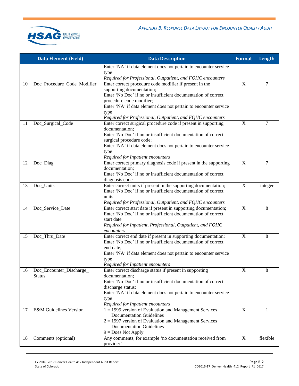



|    | <b>Data Element (Field)</b>       | <b>Data Description</b>                                                                                                         | Format      | Length   |
|----|-----------------------------------|---------------------------------------------------------------------------------------------------------------------------------|-------------|----------|
|    |                                   | Enter 'NA' if data element does not pertain to encounter service                                                                |             |          |
|    |                                   | type<br>Required for Professional, Outpatient, and FQHC encounters                                                              |             |          |
| 10 | Doc_Procedure_Code_Modifier       | Enter correct procedure code modifier if present in the                                                                         | $\mathbf X$ | 7        |
|    |                                   | supporting documentation;                                                                                                       |             |          |
|    |                                   | Enter 'No Doc' if no or insufficient documentation of correct<br>procedure code modifier;                                       |             |          |
|    |                                   | Enter 'NA' if data element does not pertain to encounter service                                                                |             |          |
|    |                                   | type                                                                                                                            |             |          |
|    |                                   | Required for Professional, Outpatient, and FQHC encounters                                                                      |             |          |
| 11 | Doc_Surgical_Code                 | Enter correct surgical procedure code if present in supporting                                                                  | $\mathbf X$ | 7        |
|    |                                   | documentation;<br>Enter 'No Doc' if no or insufficient documentation of correct                                                 |             |          |
|    |                                   | surgical procedure code;                                                                                                        |             |          |
|    |                                   | Enter 'NA' if data element does not pertain to encounter service                                                                |             |          |
|    |                                   | type                                                                                                                            |             |          |
|    |                                   | Required for Inpatient encounters                                                                                               |             |          |
| 12 | Doc_Diag                          | Enter correct primary diagnosis code if present in the supporting<br>documentation;                                             | X           | 7        |
|    |                                   | Enter 'No Doc' if no or insufficient documentation of correct                                                                   |             |          |
|    |                                   | diagnosis code                                                                                                                  |             |          |
| 13 | Doc_Units                         | Enter correct units if present in the supporting documentation;                                                                 | X           | integer  |
|    |                                   | Enter 'No Doc' if no or insufficient documentation of correct                                                                   |             |          |
|    |                                   | units                                                                                                                           |             |          |
| 14 | Doc_Service_Date                  | Required for Professional, Outpatient, and FQHC encounters<br>Enter correct start date if present in supporting documentation;  | $\mathbf X$ | 8        |
|    |                                   | Enter 'No Doc' if no or insufficient documentation of correct                                                                   |             |          |
|    |                                   | start date                                                                                                                      |             |          |
|    |                                   | Required for Inpatient, Professional, Outpatient, and FQHC                                                                      |             |          |
|    |                                   | encounters                                                                                                                      |             |          |
| 15 | Doc_Thru_Date                     | Enter correct end date if present in supporting documentation;<br>Enter 'No Doc' if no or insufficient documentation of correct | $\mathbf X$ | 8        |
|    |                                   | end date;                                                                                                                       |             |          |
|    |                                   | Enter 'NA' if data element does not pertain to encounter service                                                                |             |          |
|    |                                   | type                                                                                                                            |             |          |
|    |                                   | Required for Inpatient encounters                                                                                               |             |          |
| 16 | Doc_Encounter_Discharge           | Enter correct discharge status if present in supporting                                                                         | $\mathbf X$ | 8        |
|    | <b>Status</b>                     | documentation;<br>Enter 'No Doc' if no or insufficient documentation of correct                                                 |             |          |
|    |                                   | discharge status;                                                                                                               |             |          |
|    |                                   | Enter 'NA' if data element does not pertain to encounter service                                                                |             |          |
|    |                                   | type                                                                                                                            |             |          |
|    |                                   | Required for Inpatient encounters                                                                                               |             |          |
| 17 | <b>E&amp;M Guidelines Version</b> | $1 = 1995$ version of Evaluation and Management Services<br><b>Documentation Guidelines</b>                                     | $\mathbf X$ | 1        |
|    |                                   | $2 = 1997$ version of Evaluation and Management Services                                                                        |             |          |
|    |                                   | <b>Documentation Guidelines</b>                                                                                                 |             |          |
|    |                                   | $9 = Does Not Apply$                                                                                                            |             |          |
| 18 | Comments (optional)               | Any comments, for example 'no documentation received from                                                                       | $\mathbf X$ | flexible |
|    |                                   | provider'                                                                                                                       |             |          |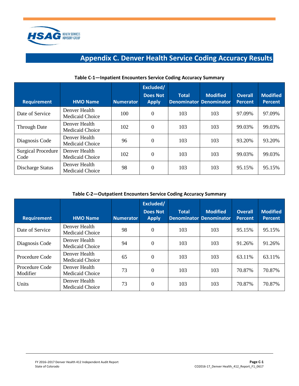<span id="page-19-0"></span>

# **Appendix C. Denver Health Service Coding Accuracy Results**

| <b>Requirement</b>                | <b>HMO Name</b>                         | <b>Numerator</b> | Excluded/<br><b>Does Not</b><br><b>Apply</b> | <b>Total</b> | <b>Modified</b><br><b>Denominator Denominator</b> | <b>Overall</b><br><b>Percent</b> | <b>Modified</b><br><b>Percent</b> |
|-----------------------------------|-----------------------------------------|------------------|----------------------------------------------|--------------|---------------------------------------------------|----------------------------------|-----------------------------------|
| Date of Service                   | Denver Health<br>Medicaid Choice        | 100              | $\theta$                                     | 103          | 103                                               | 97.09%                           | 97.09%                            |
| <b>Through Date</b>               | Denver Health<br>Medicaid Choice        | 102              | $\theta$                                     | 103          | 103                                               | 99.03%                           | 99.03%                            |
| Diagnosis Code                    | Denver Health<br><b>Medicaid Choice</b> | 96               | $\theta$                                     | 103          | 103                                               | 93.20%                           | 93.20%                            |
| <b>Surgical Procedure</b><br>Code | Denver Health<br>Medicaid Choice        | 102              | $\theta$                                     | 103          | 103                                               | 99.03%                           | 99.03%                            |
| Discharge Status                  | Denver Health<br>Medicaid Choice        | 98               | 0                                            | 103          | 103                                               | 95.15%                           | 95.15%                            |

#### **Table C-1—Inpatient Encounters Service Coding Accuracy Summary**

**Table C-2—Outpatient Encounters Service Coding Accuracy Summary**

| <b>Requirement</b>         | <b>HMO Name</b>                         | <b>Numerator</b> | Excluded/<br><b>Does Not</b><br><b>Apply</b> | <b>Total</b> | <b>Modified</b><br><b>Denominator Denominator</b> | <b>Overall</b><br><b>Percent</b> | <b>Modified</b><br><b>Percent</b> |
|----------------------------|-----------------------------------------|------------------|----------------------------------------------|--------------|---------------------------------------------------|----------------------------------|-----------------------------------|
| Date of Service            | Denver Health<br>Medicaid Choice        | 98               | $\Omega$                                     | 103          | 103                                               | 95.15%                           | 95.15%                            |
| Diagnosis Code             | Denver Health<br><b>Medicaid Choice</b> | 94               | $\Omega$                                     | 103          | 103                                               | 91.26%                           | 91.26%                            |
| Procedure Code             | Denver Health<br><b>Medicaid Choice</b> | 65               | $\Omega$                                     | 103          | 103                                               | 63.11%                           | 63.11%                            |
| Procedure Code<br>Modifier | Denver Health<br><b>Medicaid Choice</b> | 73               | $\Omega$                                     | 103          | 103                                               | 70.87%                           | 70.87%                            |
| Units                      | Denver Health<br>Medicaid Choice        | 73               | $\Omega$                                     | 103          | 103                                               | 70.87%                           | 70.87%                            |